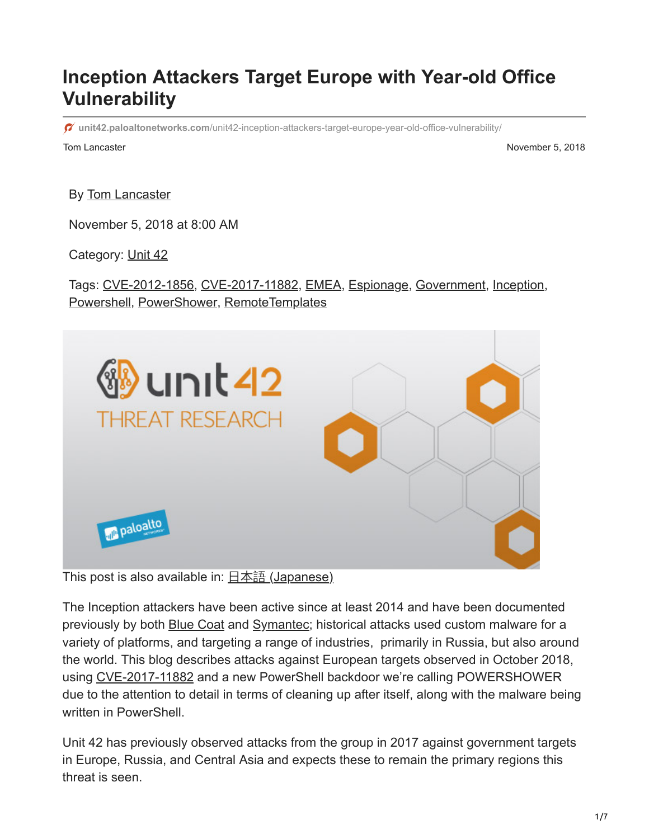# **Inception Attackers Target Europe with Year-old Office Vulnerability**

**unit42.paloaltonetworks.com**[/unit42-inception-attackers-target-europe-year-old-office-vulnerability/](https://unit42.paloaltonetworks.com/unit42-inception-attackers-target-europe-year-old-office-vulnerability/)

Tom Lancaster November 5, 2018

By [Tom Lancaster](https://unit42.paloaltonetworks.com/author/tom-lancaster/)

November 5, 2018 at 8:00 AM

Category: [Unit 42](https://unit42.paloaltonetworks.com/category/unit42/)

Tags: [CVE-2012-1856](https://unit42.paloaltonetworks.com/tag/cve-2012-1856/), [CVE-2017-11882](https://unit42.paloaltonetworks.com/tag/cve-2017-11882/), [EMEA](https://unit42.paloaltonetworks.com/tag/emea/), [Espionage,](https://unit42.paloaltonetworks.com/tag/espionage/) [Government](https://unit42.paloaltonetworks.com/tag/government2/), [Inception,](https://unit42.paloaltonetworks.com/tag/inception/) [Powershell,](https://unit42.paloaltonetworks.com/tag/powershell/) [PowerShower](https://unit42.paloaltonetworks.com/tag/powershower/), [RemoteTemplates](https://unit42.paloaltonetworks.com/tag/remotetemplates/)



This post is also available in:  $\frac{\Box \triangle \bar{a}}{\Box a}$  [\(Japanese\)](https://unit42.paloaltonetworks.jp/unit42-inception-attackers-target-europe-year-old-office-vulnerability/)

The Inception attackers have been active since at least 2014 and have been documented previously by both [Blue Coat](https://www.symantec.com/connect/blogs/blue-coat-exposes-inception-framework-very-sophisticated-layered-malware-attack-targeted-milit) and [Symantec;](https://www.symantec.com/blogs/threat-intelligence/inception-framework-hiding-behind-proxies) historical attacks used custom malware for a variety of platforms, and targeting a range of industries, primarily in Russia, but also around the world. This blog describes attacks against European targets observed in October 2018, using [CVE-2017-11882](https://nvd.nist.gov/vuln/detail/CVE-2017-11882) and a new PowerShell backdoor we're calling POWERSHOWER due to the attention to detail in terms of cleaning up after itself, along with the malware being written in PowerShell.

Unit 42 has previously observed attacks from the group in 2017 against government targets in Europe, Russia, and Central Asia and expects these to remain the primary regions this threat is seen.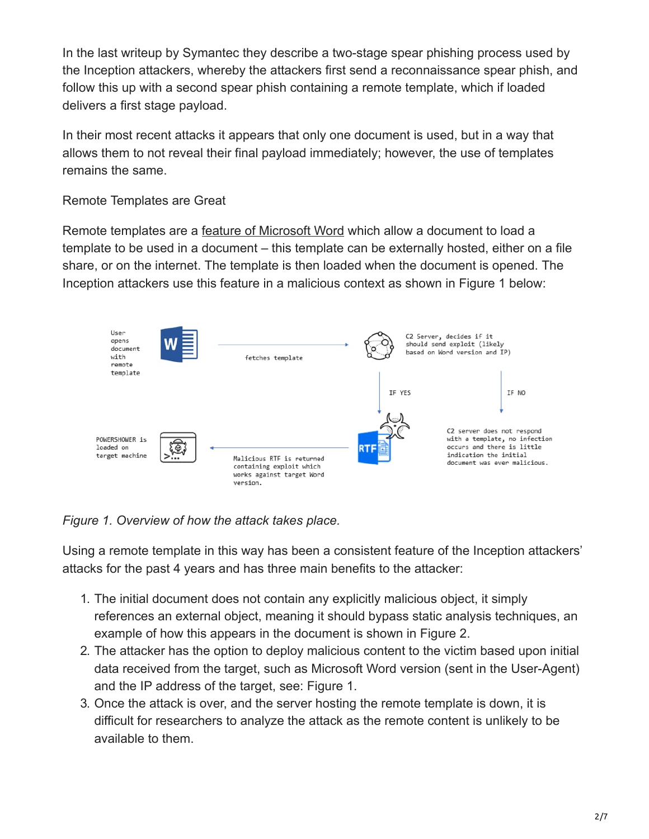In the last writeup by Symantec they describe a two-stage spear phishing process used by the Inception attackers, whereby the attackers first send a reconnaissance spear phish, and follow this up with a second spear phish containing a remote template, which if loaded delivers a first stage payload.

In their most recent attacks it appears that only one document is used, but in a way that allows them to not reveal their final payload immediately; however, the use of templates remains the same.

#### Remote Templates are Great

Remote templates are a [feature of Microsoft Word](https://docs.microsoft.com/en-us/dotnet/api/documentformat.openxml.wordprocessing.attachedtemplate?view=openxml-2.8.1) which allow a document to load a template to be used in a document – this template can be externally hosted, either on a file share, or on the internet. The template is then loaded when the document is opened. The Inception attackers use this feature in a malicious context as shown in Figure 1 below:



## *Figure 1. Overview of how the attack takes place.*

Using a remote template in this way has been a consistent feature of the Inception attackers' attacks for the past 4 years and has three main benefits to the attacker:

- 1. The initial document does not contain any explicitly malicious object, it simply references an external object, meaning it should bypass static analysis techniques, an example of how this appears in the document is shown in Figure 2.
- 2. The attacker has the option to deploy malicious content to the victim based upon initial data received from the target, such as Microsoft Word version (sent in the User-Agent) and the IP address of the target, see: Figure 1.
- 3. Once the attack is over, and the server hosting the remote template is down, it is difficult for researchers to analyze the attack as the remote content is unlikely to be available to them.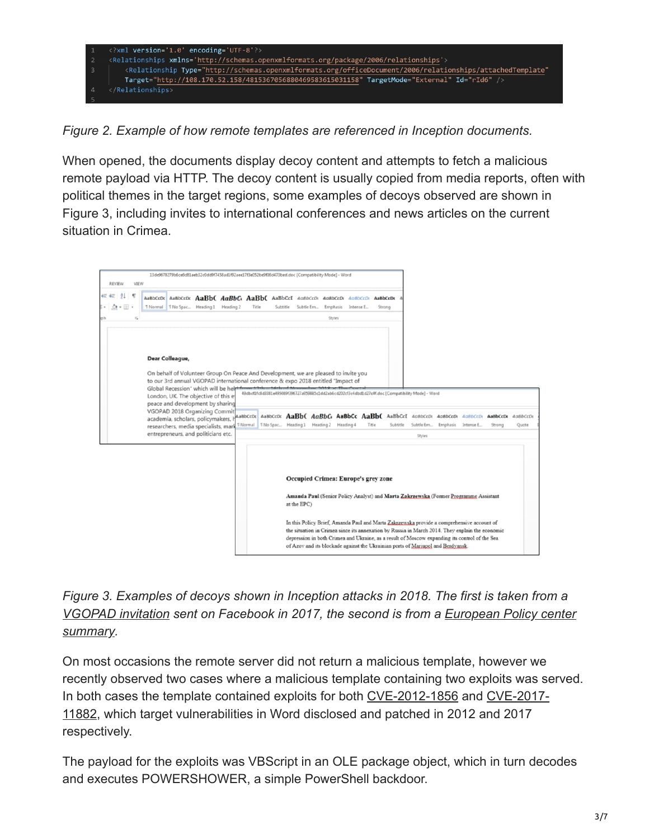

*Figure 2. Example of how remote templates are referenced in Inception documents.*

When opened, the documents display decoy content and attempts to fetch a malicious remote payload via HTTP. The decoy content is usually copied from media reports, often with political themes in the target regions, some examples of decoys observed are shown in Figure 3, including invites to international conferences and news articles on the current situation in Crimea.



*Figure 3. Examples of decoys shown in Inception attacks in 2018. The first is taken from a [VGOPAD invitatio](https://www.facebook.com/jltgroup/posts/dear-colleague-on-behalf-of-volunteer-group-on-peace-and-development-i-am-please/1855877617760413/)[n sent on Facebook in 2017, the second is from a European Policy center](http://www.epc.eu/pub_details.php?cat_id=3&pub_id=8765) summary.*

On most occasions the remote server did not return a malicious template, however we recently observed two cases where a malicious template containing two exploits was served. [In both cases the template contained exploits for both](https://portal.msrc.microsoft.com/en-US/security-guidance/advisory/CVE-2017-11882) [CVE-2012-1856](https://blog.ropchain.com/2015/07/27/analyzing-vupens-cve-2012-1856/) [and CVE-2017-](https://portal.msrc.microsoft.com/en-US/security-guidance/advisory/CVE-2017-11882) 11882, which target vulnerabilities in Word disclosed and patched in 2012 and 2017 respectively.

The payload for the exploits was VBScript in an OLE package object, which in turn decodes and executes POWERSHOWER, a simple PowerShell backdoor.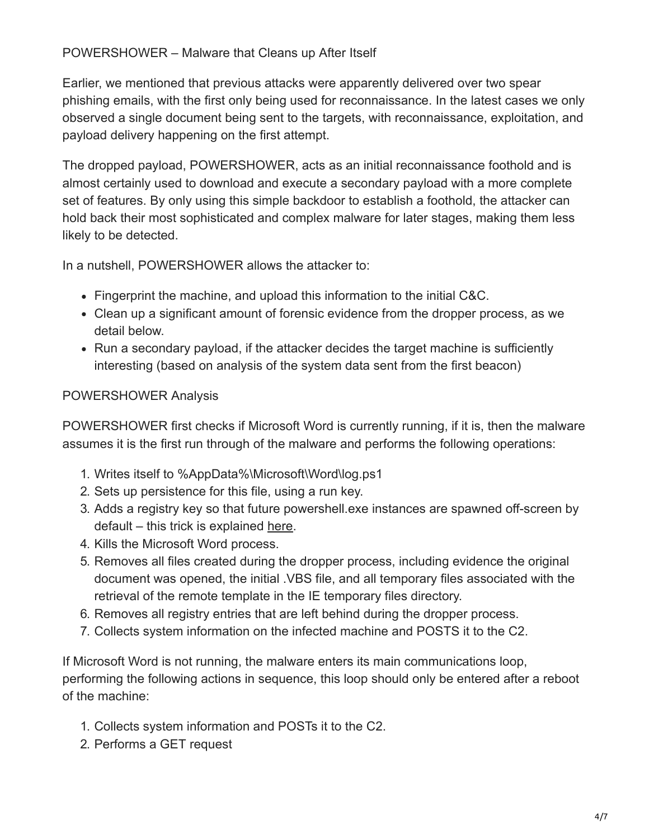### POWERSHOWER – Malware that Cleans up After Itself

Earlier, we mentioned that previous attacks were apparently delivered over two spear phishing emails, with the first only being used for reconnaissance. In the latest cases we only observed a single document being sent to the targets, with reconnaissance, exploitation, and payload delivery happening on the first attempt.

The dropped payload, POWERSHOWER, acts as an initial reconnaissance foothold and is almost certainly used to download and execute a secondary payload with a more complete set of features. By only using this simple backdoor to establish a foothold, the attacker can hold back their most sophisticated and complex malware for later stages, making them less likely to be detected.

In a nutshell, POWERSHOWER allows the attacker to:

- Fingerprint the machine, and upload this information to the initial C&C.
- Clean up a significant amount of forensic evidence from the dropper process, as we detail below.
- Run a secondary payload, if the attacker decides the target machine is sufficiently interesting (based on analysis of the system data sent from the first beacon)

## POWERSHOWER Analysis

POWERSHOWER first checks if Microsoft Word is currently running, if it is, then the malware assumes it is the first run through of the malware and performs the following operations:

- 1. Writes itself to %AppData%\Microsoft\Word\log.ps1
- 2. Sets up persistence for this file, using a run key.
- 3. Adds a registry key so that future powershell.exe instances are spawned off-screen by default – this trick is explained [here.](https://cantoriscomputing.wordpress.com/2016/07/22/powershell-malware/)
- 4. Kills the Microsoft Word process.
- 5. Removes all files created during the dropper process, including evidence the original document was opened, the initial .VBS file, and all temporary files associated with the retrieval of the remote template in the IE temporary files directory.
- 6. Removes all registry entries that are left behind during the dropper process.
- 7. Collects system information on the infected machine and POSTS it to the C2.

If Microsoft Word is not running, the malware enters its main communications loop, performing the following actions in sequence, this loop should only be entered after a reboot of the machine:

- 1. Collects system information and POSTs it to the C2.
- 2. Performs a GET request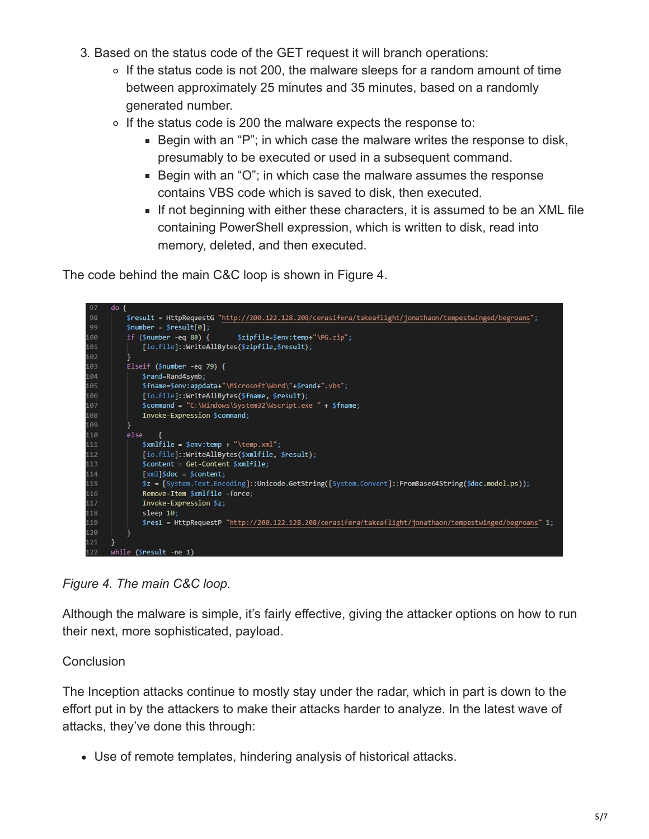- 3. Based on the status code of the GET request it will branch operations:
	- $\circ$  If the status code is not 200, the malware sleeps for a random amount of time between approximately 25 minutes and 35 minutes, based on a randomly generated number.
	- $\circ$  If the status code is 200 the malware expects the response to:
		- Begin with an "P"; in which case the malware writes the response to disk, presumably to be executed or used in a subsequent command.
		- Begin with an "O"; in which case the malware assumes the response contains VBS code which is saved to disk, then executed.
		- If not beginning with either these characters, it is assumed to be an XML file containing PowerShell expression, which is written to disk, read into memory, deleted, and then executed.

The code behind the main C&C loop is shown in Figure 4.



*Figure 4. The main C&C loop.*

Although the malware is simple, it's fairly effective, giving the attacker options on how to run their next, more sophisticated, payload.

## **Conclusion**

The Inception attacks continue to mostly stay under the radar, which in part is down to the effort put in by the attackers to make their attacks harder to analyze. In the latest wave of attacks, they've done this through:

Use of remote templates, hindering analysis of historical attacks.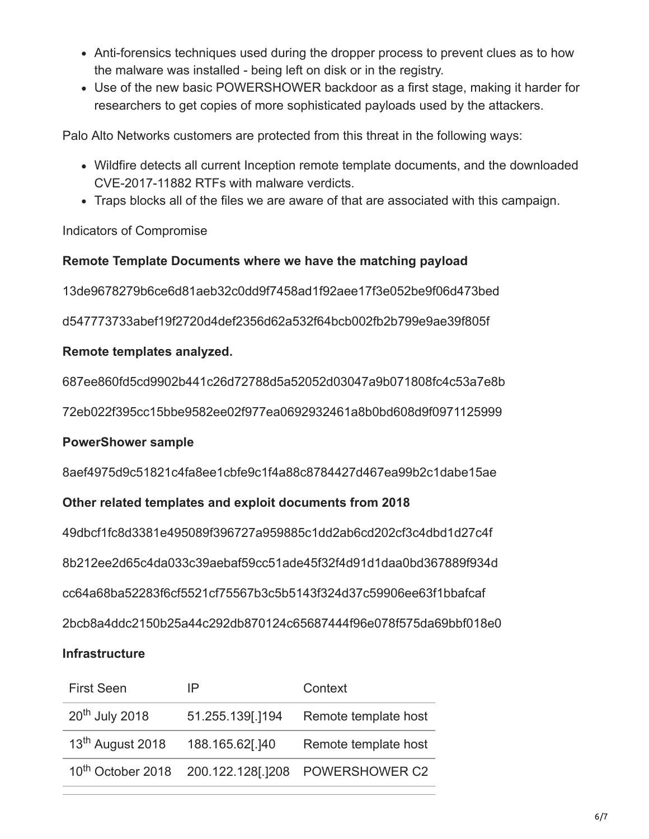- Anti-forensics techniques used during the dropper process to prevent clues as to how the malware was installed - being left on disk or in the registry.
- Use of the new basic POWERSHOWER backdoor as a first stage, making it harder for researchers to get copies of more sophisticated payloads used by the attackers.

Palo Alto Networks customers are protected from this threat in the following ways:

- Wildfire detects all current Inception remote template documents, and the downloaded CVE-2017-11882 RTFs with malware verdicts.
- Traps blocks all of the files we are aware of that are associated with this campaign.

Indicators of Compromise

### **Remote Template Documents where we have the matching payload**

13de9678279b6ce6d81aeb32c0dd9f7458ad1f92aee17f3e052be9f06d473bed

d547773733abef19f2720d4def2356d62a532f64bcb002fb2b799e9ae39f805f

### **Remote templates analyzed.**

687ee860fd5cd9902b441c26d72788d5a52052d03047a9b071808fc4c53a7e8b

72eb022f395cc15bbe9582ee02f977ea0692932461a8b0bd608d9f0971125999

## **PowerShower sample**

8aef4975d9c51821c4fa8ee1cbfe9c1f4a88c8784427d467ea99b2c1dabe15ae

## **Other related templates and exploit documents from 2018**

49dbcf1fc8d3381e495089f396727a959885c1dd2ab6cd202cf3c4dbd1d27c4f 8b212ee2d65c4da033c39aebaf59cc51ade45f32f4d91d1daa0bd367889f934d cc64a68ba52283f6cf5521cf75567b3c5b5143f324d37c59906ee63f1bbafcaf 2bcb8a4ddc2150b25a44c292db870124c65687444f96e078f575da69bbf018e0

## **Infrastructure**

| <b>First Seen</b>            | IP               | Context                                                        |
|------------------------------|------------------|----------------------------------------------------------------|
| 20 <sup>th</sup> July 2018   | 51.255.139[.]194 | Remote template host                                           |
| 13 <sup>th</sup> August 2018 | 188.165.62[.]40  | Remote template host                                           |
|                              |                  | 10 <sup>th</sup> October 2018 200.122.128[.]208 POWERSHOWER C2 |